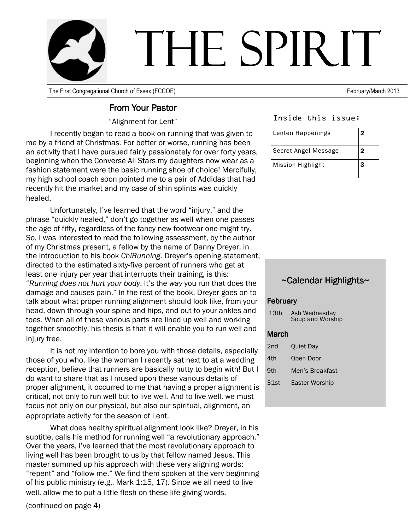

The First Congregational Church of Essex (FCCOE)

#### **From Your Pastor**

"Alignment for Lent"

I recently began to read a book on running that was given to me by a friend at Christmas. For better or worse, running has been an activity that I have pursued fairly passionately for over forty years, beginning when the Converse All Stars my daughters now wear as a fashion statement were the basic running shoe of choice! Mercifully, my high school coach soon pointed me to a pair of Addidas that had recently hit the market and my case of shin splints was quickly healed.

Unfortunately, I've learned that the word "injury," and the phrase "quickly healed," don't go together as well when one passes the age of fifty, regardless of the fancy new footwear one might try. So, I was interested to read the following assessment, by the author of my Christmas present, a fellow by the name of Danny Dreyer, in the introduction to his book ChiRunning. Dreyer's opening statement, directed to the estimated sixty-five percent of runners who get at least one injury per year that interrupts their training, is this: "Running does not hurt your body. It's the way you run that does the damage and causes pain." In the rest of the book, Dreyer goes on to talk about what proper running alignment should look like, from your head, down through your spine and hips, and out to your ankles and toes. When all of these various parts are lined up well and working together smoothly, his thesis is that it will enable you to run well and injury free.

It is not my intention to bore you with those details, especially those of you who, like the woman I recently sat next to at a wedding reception, believe that runners are basically nutty to begin with! But I do want to share that as I mused upon these various details of proper alignment, it occurred to me that having a proper alignment is critical, not only to run well but to live well. And to live well, we must focus not only on our physical, but also our spiritual, alignment, an appropriate activity for the season of Lent.

What does healthy spiritual alignment look like? Dreyer, in his subtitle, calls his method for running well "a revolutionary approach." Over the years, I've learned that the most revolutionary approach to living well has been brought to us by that fellow named Jesus. This master summed up his approach with these very aligning words: "repent" and "follow me." We find them spoken at the very beginning of his public ministry (e.g., Mark 1:15, 17). Since we all need to live well, allow me to put a little flesh on these life-giving words.

February/March 2013

#### Inside this issue:

| Lenten Happenings    | 2 |
|----------------------|---|
| Secret Angel Message | 2 |
| Mission Highlight    | 3 |

#### ~Calendar Highlights~

#### February

| 13 <sub>th</sub> | Ash Wednesday<br>Soup and Worship |
|------------------|-----------------------------------|
| March            |                                   |
| 2nd              | <b>Ouiet Day</b>                  |
| 4th              | Open Door                         |
| 9th              | Men's Breakfast                   |
| 31st             | Easter Worship                    |
|                  |                                   |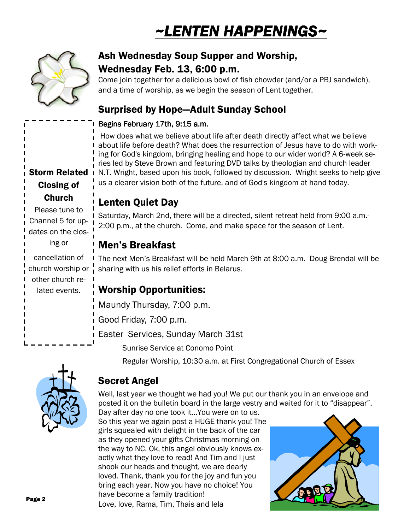# ~LENTEN HAPPENINGS~



## Ash Wednesday Soup Supper and Worship, Wednesday Feb. 13, 6:00 p.m.

Come join together for a delicious bowl of fish chowder (and/or a PBJ sandwich). and a time of worship, as we begin the season of Lent together.

## **Surprised by Hope-Adult Sunday School**

#### Begins February 17th, 9:15 a.m.

How does what we believe about life after death directly affect what we believe about life before death? What does the resurrection of Jesus have to do with working for God's kingdom, bringing healing and hope to our wider world? A 6-week series led by Steve Brown and featuring DVD talks by theologian and church leader N.T. Wright, based upon his book, followed by discussion. Wright seeks to help give us a clearer vision both of the future, and of God's kingdom at hand today.

# **Lenten Quiet Day**

Saturday, March 2nd, there will be a directed, silent retreat held from 9:00 a.m.-2:00 p.m., at the church. Come, and make space for the season of Lent.

## **Men's Breakfast**

The next Men's Breakfast will be held March 9th at 8:00 a.m. Doug Brendal will be sharing with us his relief efforts in Belarus.

## **Worship Opportunities:**

Maundy Thursday, 7:00 p.m.

Good Friday, 7:00 p.m.

Easter Services, Sunday March 31st

**Sunrise Service at Conomo Point** 

Regular Worship, 10:30 a.m. at First Congregational Church of Essex



## **Secret Angel**

Well, last year we thought we had you! We put our thank you in an envelope and posted it on the bulletin board in the large vestry and waited for it to "disappear".

Day after day no one took it... You were on to us. So this year we again post a HUGE thank you! The girls squealed with delight in the back of the car as they opened your gifts Christmas morning on the way to NC. Ok, this angel obviously knows exactly what they love to read! And Tim and I just shook our heads and thought, we are dearly loved. Thank, thank you for the joy and fun you bring each year. Now you have no choice! You have become a family tradition! Love, love, Rama, Tim, Thais and lela



**Storm Related Closing of Church** 

Please tune to Channel 5 for updates on the closing or

cancellation of church worship or other church related events.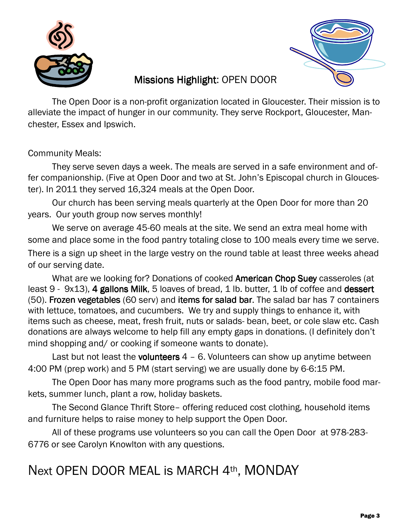



# **Missions Highlight: OPEN DOOR**

The Open Door is a non-profit organization located in Gloucester. Their mission is to alleviate the impact of hunger in our community. They serve Rockport, Gloucester, Manchester, Essex and Ipswich.

**Community Meals:** 

They serve seven days a week. The meals are served in a safe environment and offer companionship. (Five at Open Door and two at St. John's Episcopal church in Gloucester). In 2011 they served 16,324 meals at the Open Door.

Our church has been serving meals quarterly at the Open Door for more than 20 years. Our youth group now serves monthly!

We serve on average 45-60 meals at the site. We send an extra meal home with some and place some in the food pantry totaling close to 100 meals every time we serve. There is a sign up sheet in the large vestry on the round table at least three weeks ahead of our serving date.

What are we looking for? Donations of cooked American Chop Suey casseroles (at least 9 - 9x13), 4 gallons Milk, 5 loaves of bread, 1 lb. butter, 1 lb of coffee and dessert (50). Frozen vegetables (60 serv) and items for salad bar. The salad bar has 7 containers with lettuce, tomatoes, and cucumbers. We try and supply things to enhance it, with items such as cheese, meat, fresh fruit, nuts or salads- bean, beet, or cole slaw etc. Cash donations are always welcome to help fill any empty gaps in donations. (I definitely don't mind shopping and/ or cooking if someone wants to donate).

Last but not least the volunteers  $4 - 6$ . Volunteers can show up anytime between 4:00 PM (prep work) and 5 PM (start serving) we are usually done by 6-6:15 PM.

The Open Door has many more programs such as the food pantry, mobile food markets, summer lunch, plant a row, holiday baskets.

The Second Glance Thrift Store- offering reduced cost clothing, household items and furniture helps to raise money to help support the Open Door.

All of these programs use volunteers so you can call the Open Door at 978-283-6776 or see Carolyn Knowlton with any questions.

# Next OPEN DOOR MEAL is MARCH 4th, MONDAY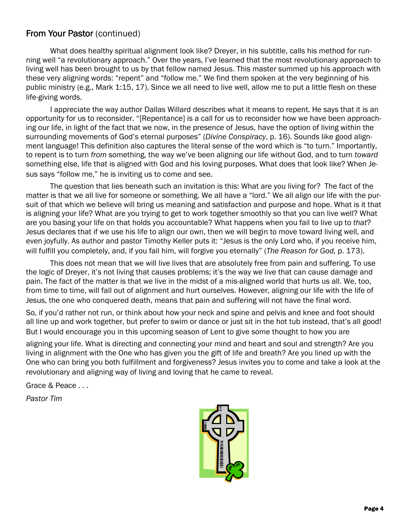#### From Your Pastor (continued)

What does healthy spiritual alignment look like? Drever, in his subtitle, calls his method for running well "a revolutionary approach." Over the years, I've learned that the most revolutionary approach to living well has been brought to us by that fellow named Jesus. This master summed up his approach with these very aligning words: "repent" and "follow me." We find them spoken at the very beginning of his public ministry (e.g., Mark 1:15, 17). Since we all need to live well, allow me to put a little flesh on these life-giving words.

I appreciate the way author Dallas Willard describes what it means to repent. He says that it is an opportunity for us to reconsider. "[Repentance] is a call for us to reconsider how we have been approaching our life, in light of the fact that we now, in the presence of Jesus, have the option of living within the surrounding movements of God's eternal purposes" (Divine Conspiracy, p. 16). Sounds like good alignment language! This definition also captures the literal sense of the word which is "to turn." Importantly, to repent is to turn from something, the way we've been aligning our life without God, and to turn toward something else, life that is aligned with God and his loving purposes. What does that look like? When Jesus says "follow me," he is inviting us to come and see.

The question that lies beneath such an invitation is this: What are you living for? The fact of the matter is that we all live for someone or something. We all have a "lord." We all align our life with the pursuit of that which we believe will bring us meaning and satisfaction and purpose and hope. What is it that is aligning your life? What are you trying to get to work together smoothly so that you can live well? What are you basing your life on that holds you accountable? What happens when you fail to live up to that? Jesus declares that if we use his life to align our own, then we will begin to move toward living well, and even joyfully. As author and pastor Timothy Keller puts it: "Jesus is the only Lord who, if you receive him, will fulfill you completely, and, if you fail him, will forgive you eternally" (The Reason for God, p. 173).

This does not mean that we will live lives that are absolutely free from pain and suffering. To use the logic of Dreyer, it's not living that causes problems; it's the way we live that can cause damage and pain. The fact of the matter is that we live in the midst of a mis-aligned world that hurts us all. We, too, from time to time, will fall out of alignment and hurt ourselves. However, aligning our life with the life of Jesus, the one who conquered death, means that pain and suffering will not have the final word.

So, if you'd rather not run, or think about how your neck and spine and pelvis and knee and foot should all line up and work together, but prefer to swim or dance or just sit in the hot tub instead, that's all good! But I would encourage you in this upcoming season of Lent to give some thought to how you are

aligning your life. What is directing and connecting your mind and heart and soul and strength? Are you living in alignment with the One who has given you the gift of life and breath? Are you lined up with the One who can bring you both fulfillment and forgiveness? Jesus invites you to come and take a look at the revolutionary and aligning way of living and loving that he came to reveal.

Grace & Peace . . .

**Pastor Tim**